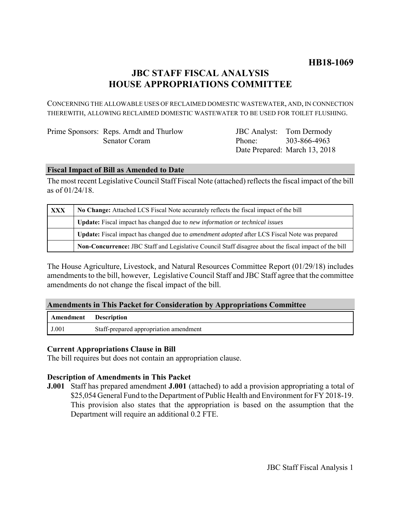# **JBC STAFF FISCAL ANALYSIS HOUSE APPROPRIATIONS COMMITTEE**

CONCERNING THE ALLOWABLE USES OF RECLAIMED DOMESTIC WASTEWATER, AND, IN CONNECTION THEREWITH, ALLOWING RECLAIMED DOMESTIC WASTEWATER TO BE USED FOR TOILET FLUSHING.

| Prime Sponsors: Reps. Arndt and Thurlow |
|-----------------------------------------|
| Senator Coram                           |

JBC Analyst: Tom Dermody Phone: Date Prepared: March 13, 2018 303-866-4963

### **Fiscal Impact of Bill as Amended to Date**

The most recent Legislative Council Staff Fiscal Note (attached) reflects the fiscal impact of the bill as of 01/24/18.

| <b>XXX</b> | No Change: Attached LCS Fiscal Note accurately reflects the fiscal impact of the bill                       |  |
|------------|-------------------------------------------------------------------------------------------------------------|--|
|            | <b>Update:</b> Fiscal impact has changed due to new information or technical issues                         |  |
|            | <b>Update:</b> Fiscal impact has changed due to <i>amendment adopted</i> after LCS Fiscal Note was prepared |  |
|            | Non-Concurrence: JBC Staff and Legislative Council Staff disagree about the fiscal impact of the bill       |  |

The House Agriculture, Livestock, and Natural Resources Committee Report (01/29/18) includes amendments to the bill, however, Legislative Council Staff and JBC Staff agree that the committee amendments do not change the fiscal impact of the bill.

## **Amendments in This Packet for Consideration by Appropriations Committee**

| <b>Amendment</b> Description |                                        |
|------------------------------|----------------------------------------|
| J.001                        | Staff-prepared appropriation amendment |

#### **Current Appropriations Clause in Bill**

The bill requires but does not contain an appropriation clause.

#### **Description of Amendments in This Packet**

**J.001** Staff has prepared amendment **J.001** (attached) to add a provision appropriating a total of \$25,054 General Fund to the Department of Public Health and Environment for FY 2018-19. This provision also states that the appropriation is based on the assumption that the Department will require an additional 0.2 FTE.